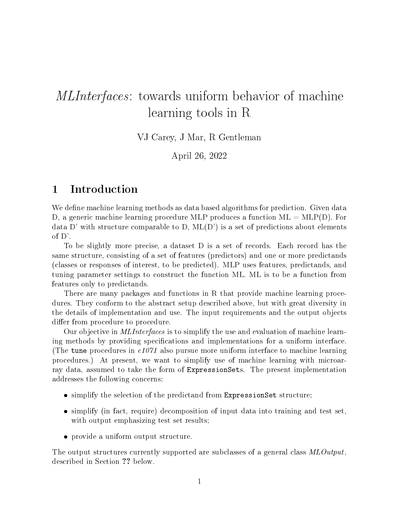# MLInterfaces: towards uniform behavior of machine learning tools in R

VJ Carey, J Mar, R Gentleman

April 26, 2022

### 1 Introduction

We define machine learning methods as data based algorithms for prediction. Given data D, a generic machine learning procedure MLP produces a function ML = MLP(D). For data D' with structure comparable to D,  $ML(D')$  is a set of predictions about elements of D'.

To be slightly more precise, a dataset D is a set of records. Each record has the same structure, consisting of a set of features (predictors) and one or more predictands (classes or responses of interest, to be predicted). MLP uses features, predictands, and tuning parameter settings to construct the function ML. ML is to be a function from features only to predictands.

There are many packages and functions in R that provide machine learning procedures. They conform to the abstract setup described above, but with great diversity in the details of implementation and use. The input requirements and the output objects differ from procedure to procedure.

Our objective in MLInterfaces is to simplify the use and evaluation of machine learning methods by providing specifications and implementations for a uniform interface. (The tune procedures in  $e1071$  also pursue more uniform interface to machine learning procedures.) At present, we want to simplify use of machine learning with microarray data, assumed to take the form of ExpressionSets. The present implementation addresses the following concerns:

- simplify the selection of the predictand from ExpressionSet structure;
- simplify (in fact, require) decomposition of input data into training and test set, with output emphasizing test set results;
- provide a uniform output structure.

The output structures currently supported are subclasses of a general class  $MLOutput$ , described in Section ?? below.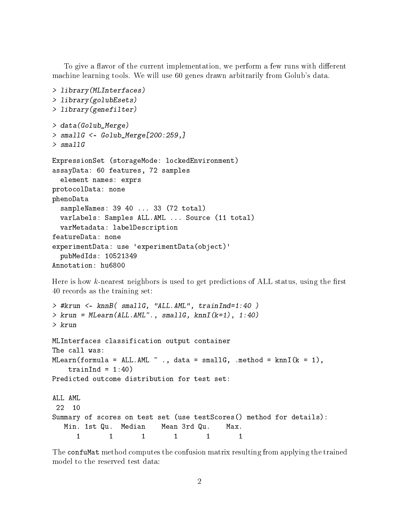To give a flavor of the current implementation, we perform a few runs with different machine learning tools. We will use 60 genes drawn arbitrarily from Golub's data.

```
> library(MLInterfaces)
> library(golubEsets)
> library(genefilter)
> data(Golub_Merge)
> smallG <- Golub_Merge[200:259,]
> smallG
ExpressionSet (storageMode: lockedEnvironment)
assayData: 60 features, 72 samples
  element names: exprs
protocolData: none
phenoData
  sampleNames: 39 40 ... 33 (72 total)
  varLabels: Samples ALL.AML ... Source (11 total)
  varMetadata: labelDescription
featureData: none
experimentData: use 'experimentData(object)'
  pubMedIds: 10521349
Annotation: hu6800
```
Here is how k-nearest neighbors is used to get predictions of ALL status, using the first 40 records as the training set:

```
> #krun <- knnB( smallG, "ALL.AML", trainInd=1:40 )
> krun = MLearn(ALL.AML~., smallG, knnI(k=1), 1:40)
> krun
MLInterfaces classification output container
The call was:
MLearn(formula = ALL.AML \tilde{ } ., data = smallG, .method = knnI(k = 1),
   trainInd = 1:40)
Predicted outcome distribution for test set:
ALL AML
 22 10
Summary of scores on test set (use testScores() method for details):
  Min. 1st Qu. Median Mean 3rd Qu. Max.
     1 1 1 1 1 1
```
The confuMat method computes the confusion matrix resulting from applying the trained model to the reserved test data: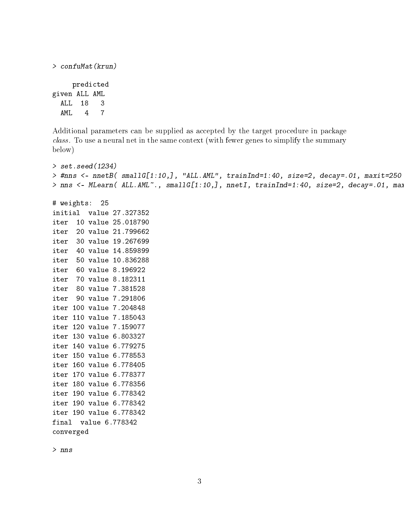```
> confuMat(krun)
    predicted
given ALL AML
 ALL 18 3
 AML 4 7
```
Additional parameters can be supplied as accepted by the target procedure in package class. To use a neural net in the same context (with fewer genes to simplify the summary below)

```
> set.seed(1234)
> #nns <- nnetB( smallG[1:10,], "ALL.AML", trainInd=1:40, size=2, decay=.01, maxit=250 )
> nns <- MLearn( ALL.AML~., smallG[1:10,], nnetI, trainInd=1:40, size=2, decay=.01, max
# weights: 25
initial value 27.327352
iter 10 value 25.018790
iter 20 value 21.799662
iter 30 value 19.267699
iter 40 value 14.859899
iter 50 value 10.836288
iter 60 value 8.196922
iter 70 value 8.182311
iter 80 value 7.381528
iter 90 value 7.291806
iter 100 value 7.204848
iter 110 value 7.185043
iter 120 value 7.159077
iter 130 value 6.803327
iter 140 value 6.779275
iter 150 value 6.778553
iter 160 value 6.778405
iter 170 value 6.778377
iter 180 value 6.778356
iter 190 value 6.778342
iter 190 value 6.778342
iter 190 value 6.778342
```
> nns

converged

final value 6.778342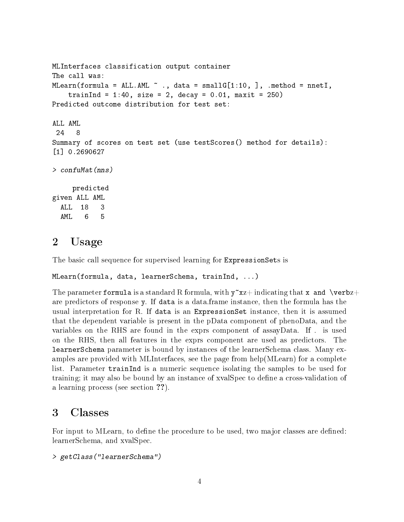```
MLInterfaces classification output container
The call was:
MLearn(formula = ALL.AML \tilde{ } ., data = smallG[1:10, ], .method = nnetI,
    trainInd = 1:40, size = 2, decay = 0.01, maxit = 250)
Predicted outcome distribution for test set:
ALL AML
 24 8
Summary of scores on test set (use testScores() method for details):
[1] 0.2690627
> confuMat(nns)
     predicted
given ALL AML
  ALL 18 3
  AML 6 5
```
#### 2 Usage

The basic call sequence for supervised learning for ExpressionSets is

```
MLearn(formula, data, learnerSchema, trainInd, ...)
```
The parameter formula is a standard R formula, with  $y^{\sim}xz+$  indicating that x and \verbz+ are predictors of response y. If data is a data.frame instance, then the formula has the usual interpretation for R. If data is an ExpressionSet instance, then it is assumed that the dependent variable is present in the pData component of phenoData, and the variables on the RHS are found in the exprs component of assayData. If . is used on the RHS, then all features in the exprs component are used as predictors. The learnerSchema parameter is bound by instances of the learnerSchema class. Many examples are provided with MLInterfaces, see the page from help(MLearn) for a complete list. Parameter trainInd is a numeric sequence isolating the samples to be used for training; it may also be bound by an instance of xvalSpec to define a cross-validation of a learning process (see section ??).

## 3 Classes

For input to MLearn, to define the procedure to be used, two major classes are defined: learnerSchema, and xvalSpec.

```
> getClass("learnerSchema")
```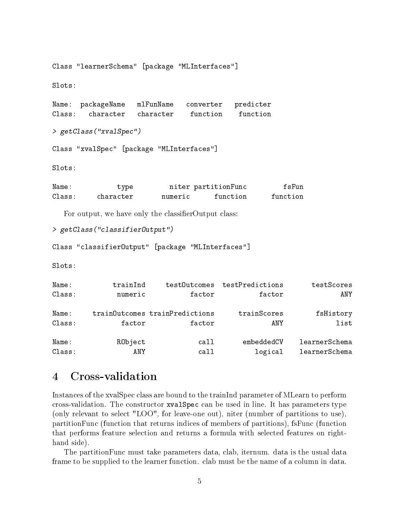Class "learnerSchema" [package "MLInterfaces"]

Slots:

Name: packageName mlFunName converter predicter Class: character character function function

> getClass("xvalSpec")

Class "xvalSpec" [package "MLInterfaces"]

Slots:

| Name:  | type      |         | niter partitionFunc | fsFun    |
|--------|-----------|---------|---------------------|----------|
| Class: | character | numeric | function            | function |

For output, we have only the classifierOutput class:

```
> getClass("classifierOutput")
```
Class "classifierOutput" [package "MLInterfaces"]

Slots:

| Name:  | trainInd |                                | testOutcomes testPredictions | testScores    |
|--------|----------|--------------------------------|------------------------------|---------------|
| Class: | numeric  | factor                         | factor                       | ANY           |
| Name:  |          | trainOutcomes trainPredictions | trainScores                  | fsHistory     |
| Class: | factor   | factor                         | ANY                          | list          |
| Name:  | RObject  | call                           | embeddedCV                   | learnerSchema |
| Class: | ANY      | cal1                           | logical                      | learnerSchema |

### 4 Cross-validation

Instances of the xvalSpec class are bound to the trainInd parameter of MLearn to perform cross-validation. The constructor xvalSpec can be used in line. It has parameters type (only relevant to select "LOO", for leave-one out), niter (number of partitions to use), partitionFunc (function that returns indices of members of partitions), fsFunc (function that performs feature selection and returns a formula with selected features on righthand side).

The partitionFunc must take parameters data, clab, iternum. data is the usual data frame to be supplied to the learner function. clab must be the name of a column in data.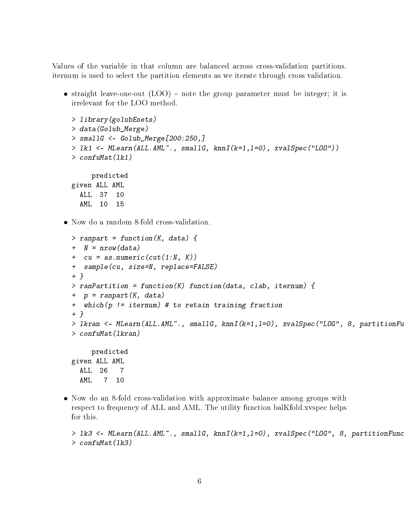Values of the variable in that column are balanced across cross-validation partitions. iternum is used to select the partition elements as we iterate through cross validation.

• straight leave-one-out  $(LOO)$  – note the group parameter must be integer; it is irrelevant for the LOO method.

```
> library(golubEsets)
> data(Golub_Merge)
> smallG <- Golub_Merge[200:250,]
> lk1 <- MLearn(ALL.AML~., smallG, knnI(k=1,l=0), xvalSpec("LOO"))
> confuMat(lk1)
    predicted
given ALL AML
 ALL 37 10
 AML 10 15
```
Now do a random 8-fold cross-validation.

```
> ranpart = function(K, data) {
+ N = nrow(data)+ cu = as.numeric(cut(1:N, K))+ sample(cu, size=N, replace=FALSE)
+ }
> ranPartition = function(K) function(data, clab, iternum) {
+ p = ranpart(K, data)
+ which(p != iternum) # to retain training fraction
+ }
> lkran \leq - MLearn(ALL.AML<sup>\sim</sup>., smallG, knnI(k=1,1=0), xvalSpec("LOG", 8, partitionFu
> confuMat(lkran)
     predicted
given ALL AML
  ALL 26 7
  AML 7 10
```
 Now do an 8-fold cross-validation with approximate balance among groups with respect to frequency of ALL and AML. The utility function balKfold.xvspec helps for this.

```
> lk3 <- MLearn(ALL.AML<sup>\sim</sup>., smallG, knnI(k=1,1=0), xvalSpec("LOG", 8, partitionFunc
> confuMat(lk3)
```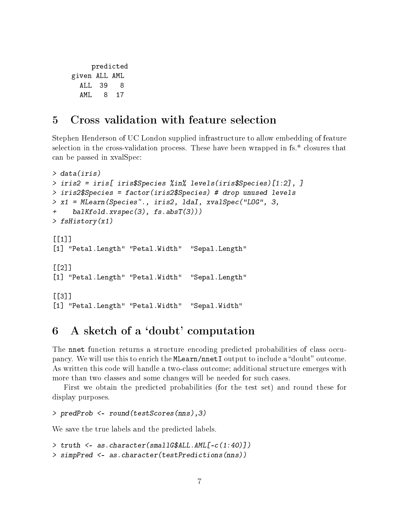```
predicted
given ALL AML
 ALL 39 8
 AML 8 17
```
#### 5 Cross validation with feature selection

Stephen Henderson of UC London supplied infrastructure to allow embedding of feature selection in the cross-validation process. These have been wrapped in fs.\* closures that can be passed in xvalSpec:

```
> data(iris)
> iris2 = iris[ iris$Species %in% levels(iris$Species)[1:2], ]
> iris2$Species = factor(iris2$Species) # drop unused levels
> x1 = MLearn(Species~., iris2, ldaI, xvalSpec("LOG", 3,
     ballfoldxyspec(3), fs.absT(3)))> fsHistory(x1)
[[1]]
[1] "Petal.Length" "Petal.Width" "Sepal.Length"
[[2]]
[1] "Petal.Length" "Petal.Width" "Sepal.Length"
[[3]]][1] "Petal.Length" "Petal.Width" "Sepal.Width"
```
#### 6 A sketch of a `doubt' computation

The nnet function returns a structure encoding predicted probabilities of class occupancy. We will use this to enrich the MLearn/nnetI output to include a "doubt" outcome. As written this code will handle a two-class outcome; additional structure emerges with more than two classes and some changes will be needed for such cases.

First we obtain the predicted probabilities (for the test set) and round these for display purposes.

```
> predProb <- round(testScores(nns),3)
```
We save the true labels and the predicted labels.

```
> truth <- as.character(smallG$ALL.AML[-c(1:40)])
> simpPred <- as.character(testPredictions(nns))
```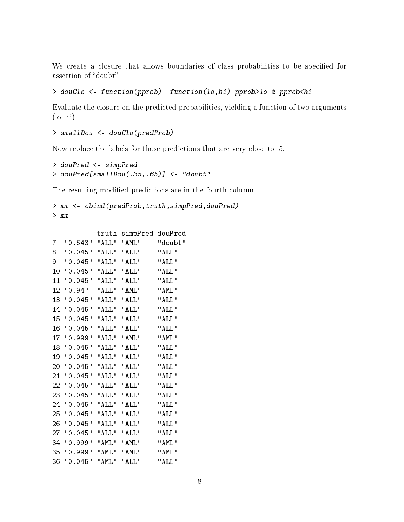We create a closure that allows boundaries of class probabilities to be specified for assertion of "doubt":

#### > douClo <- function(pprob) function(lo,hi) pprob>lo & pprob<hi

Evaluate the closure on the predicted probabilities, yielding a function of two arguments (lo, hi).

```
> smallDou <- douClo(predProb)
```
Now replace the labels for those predictions that are very close to .5.

```
> douPred <- simpPred
> douPred[smallDou(.35,.65)] <- "doubt"
```
The resulting modified predictions are in the fourth column:

```
> mm <- cbind(predProb,truth,simpPred,douPred)
> mm
```
truth simpPred douPred

| 7              | "0.643"             | "ALL"                                                                               | "AML"        | "doubt"    |
|----------------|---------------------|-------------------------------------------------------------------------------------|--------------|------------|
| 8              | "0.045"             | "ALL"                                                                               | $"$ ALL $"$  | $"$ AT.L." |
| 9              | "0.045" "ALL"       |                                                                                     | "ALL"        | " AT T."   |
| 1 <sub>0</sub> | "0.045"             | $^{\prime\prime}$ AT.I. $^{\prime\prime}$ $^{\prime\prime}$ AT.I. $^{\prime\prime}$ |              | $"$ AT.L." |
| 11             | "0.045"             | $"$ AT.T."                                                                          | $"$ ALL."    | " AT T."   |
| 12.            | "O.94" "ALL" "AML"  |                                                                                     |              | " AMT."    |
| 13             | "0.045" "ALL"       |                                                                                     | "ALL"        | " AT T."   |
| 14             | "0.045"             | "ALL" "ALL"                                                                         |              | " AT T."   |
| 15             | "0.045"             | "ALL"                                                                               | "ALL"        | "ALL"      |
| 16             | "0.045"             | $H$ AT.I. $H$                                                                       | $H$ ATT $H$  | "ALL"      |
| 17             | "0.999"             | "ATT" "AMT."                                                                        |              | " AMT."    |
| 18             | "0.045"             | "ALL" "ALL"                                                                         |              | " AT.T."   |
| 19             | "0.045"             | "ALL" "ALL"                                                                         |              | " AT.T."   |
| 20             | "0.045"             | "ALL"                                                                               | "ALL"        | "ALL"      |
| 21             | "0.045"             | "AT.T." "AT.T."                                                                     |              | " AT T."   |
| 22             | "0.045"             | "ALL"                                                                               | "ALL"        | $"$ ALL."  |
| 23             | "0.045"             | "ALL"                                                                               | $"$ AT.L $"$ | " AT T."   |
| 24             | "0.045"             | "ALL" "ALL"                                                                         |              | "ALL"      |
| 25             | "0.045"             | $H$ $AT.T.$                                                                         | $"$ ALL."    | " AT.T."   |
| 26             | "0.045"             | "ALL" "ALL"                                                                         |              | "ALL"      |
| 27             | "0.045"             | "ALL"                                                                               | "ALL"        | "ALL"      |
| 34             | "0.999"             | " AML"                                                                              | "AML"        | " AMT."    |
| 35             | "O.999" "AML" "AML" |                                                                                     |              | " AMT."    |
| 36             | "0.045"             | " AML"                                                                              | "ALL"        | " AT T."   |